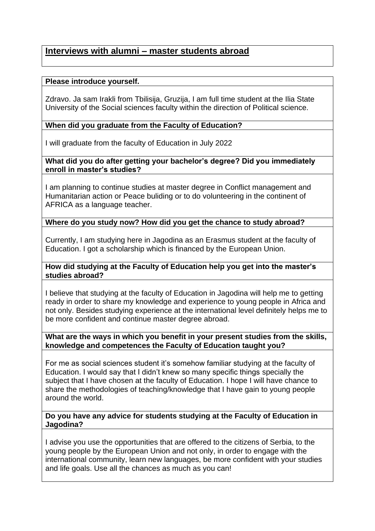# **Interviews with alumni – master students abroad**

# **Please introduce yourself.**

Zdravo. Ja sam Irakli from Tbilisija, Gruzija, I am full time student at the Ilia State University of the Social sciences faculty within the direction of Political science.

# **When did you graduate from the Faculty of Education?**

I will graduate from the faculty of Education in July 2022

#### **What did you do after getting your bachelor's degree? Did you immediately enroll in master's studies?**

I am planning to continue studies at master degree in Conflict management and Humanitarian action or Peace buliding or to do volunteering in the continent of AFRICA as a language teacher.

## **Where do you study now? How did you get the chance to study abroad?**

Currently, I am studying here in Jagodina as an Erasmus student at the faculty of Education. I got a scholarship which is financed by the European Union.

## **How did studying at the Faculty of Education help you get into the master's studies abroad?**

I believe that studying at the faculty of Education in Jagodina will help me to getting ready in order to share my knowledge and experience to young people in Africa and not only. Besides studying experience at the international level definitely helps me to be more confident and continue master degree abroad.

#### **What are the ways in which you benefit in your present studies from the skills, knowledge and competences the Faculty of Education taught you?**

For me as social sciences student it's somehow familiar studying at the faculty of Education. I would say that I didn't knew so many specific things specially the subject that I have chosen at the faculty of Education. I hope I will have chance to share the methodologies of teaching/knowledge that I have gain to young people around the world.

#### **Do you have any advice for students studying at the Faculty of Education in Jagodina?**

I advise you use the opportunities that are offered to the citizens of Serbia, to the young people by the European Union and not only, in order to engage with the international community, learn new languages, be more confident with your studies and life goals. Use all the chances as much as you can!